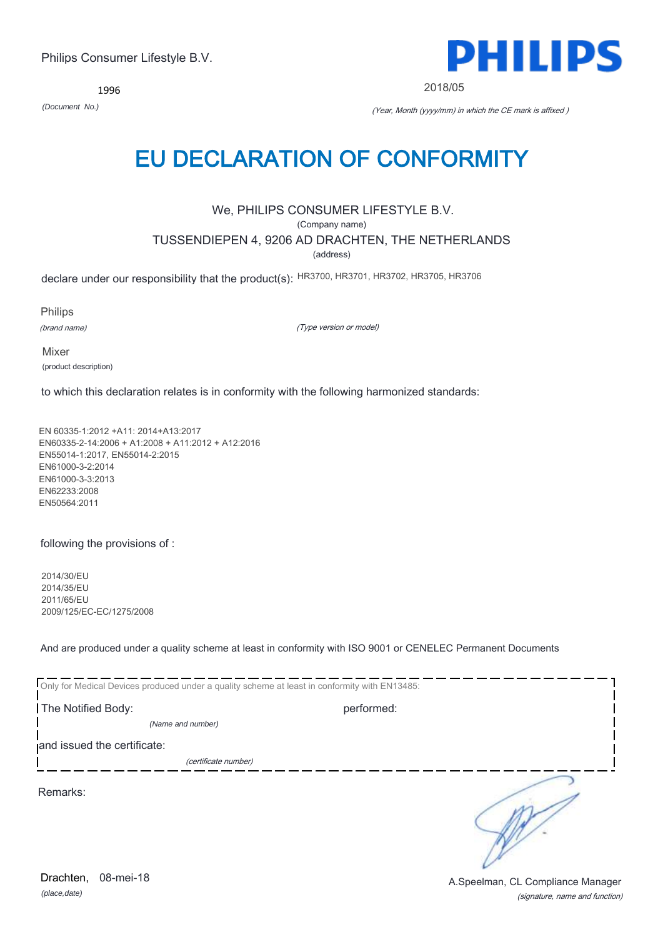*(place,date)* Drachten, 08-mei-18

(signature, name and function) A.Speelman, CL Compliance Manager

1996

*(Document No.)* (Year, Month (yyyy/mm) in which the CE mark is affixed )

## EU DECLARATION OF CONFORMITY

## We, PHILIPS CONSUMER LIFESTYLE B.V.

(Company name)

TUSSENDIEPEN 4, 9206 AD DRACHTEN, THE NETHERLANDS

(address)

declare under our responsibility that the product(s): HR3700, HR3701, HR3702, HR3705, HR3706

Philips

(brand name)

(Type version or model)

Mixer (product description)

to which this declaration relates is in conformity with the following harmonized standards:

EN 60335-1:2012 +A11: 2014+A13:2017 EN60335-2-14:2006 + A1:2008 + A11:2012 + A12:2016 EN55014-1:2017, EN55014-2:2015 EN61000-3-2:2014 EN61000-3-3:2013 EN62233:2008 EN50564:2011

following the provisions of :

2014/30/EU 2014/35/EU 2011/65/EU 2009/125/EC-EC/1275/2008

And are produced under a quality scheme at least in conformity with ISO 9001 or CENELEC Permanent Documents

| Only for Medical Devices produced under a quality scheme at least in conformity with EN13485: |            |
|-----------------------------------------------------------------------------------------------|------------|
| The Notified Body:                                                                            | performed: |
| (Name and number)                                                                             |            |
| and issued the certificate:                                                                   |            |
| (certificate number)                                                                          |            |
| Remarks:                                                                                      |            |

PHILIPS

2018/05

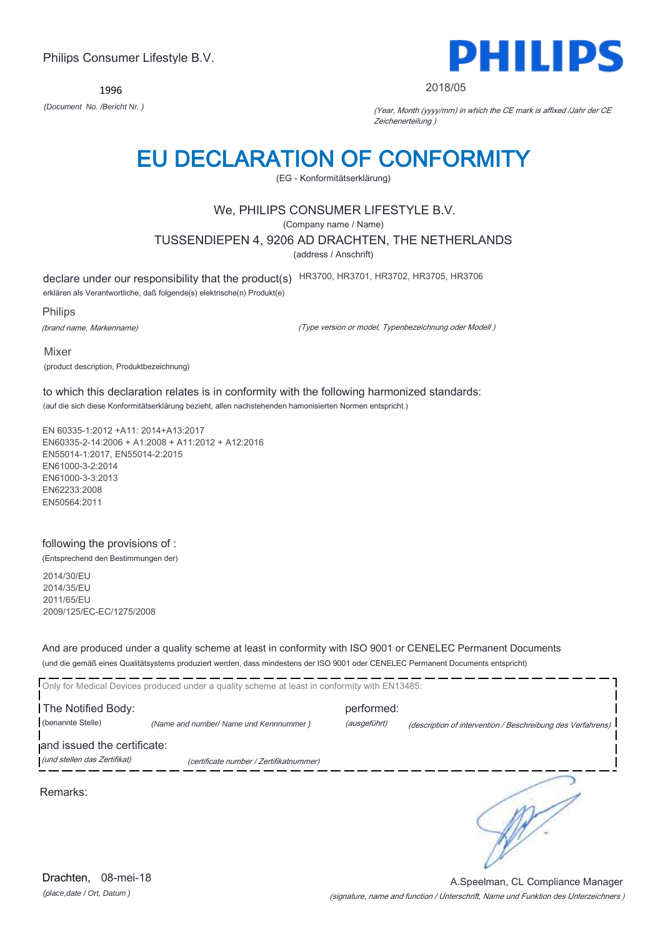1996



#### 2018/05

*(Document No. /Bericht Nr. )* (Year, Month (yyyy/mm) in which the CE mark is affixed /Jahr der CE Zeichenerteilung )

## EU DECLARATION OF CONFORMITY

(EG - Konformitätserklärung)

## We, PHILIPS CONSUMER LIFESTYLE B.V.

(Company name / Name)

TUSSENDIEPEN 4, 9206 AD DRACHTEN, THE NETHERLANDS

(address / Anschrift)

declare under our responsibility that the product(s) HR3700, HR3701, HR3702, HR3705, HR3706

erklären als Verantwortliche, daß folgende(s) elektrische(n) Produkt(e)

Philips

(brand name, Markenname)

(Type version or model, Typenbezeichnung oder Modell )

Mixer

(product description, Produktbezeichnung)

to which this declaration relates is in conformity with the following harmonized standards: (auf die sich diese Konformitätserklärung bezieht, allen nachstehenden hamonisierten Normen entspricht.)

EN 60335-1:2012 +A11: 2014+A13:2017 EN60335-2-14:2006 + A1:2008 + A11:2012 + A12:2016 EN55014-1:2017, EN55014-2:2015 EN61000-3-2:2014 EN61000-3-3:2013 EN62233:2008 EN50564:2011

## following the provisions of :

(Entsprechend den Bestimmungen der)

2014/30/EU 2014/35/EU 2011/65/EU 2009/125/EC-EC/1275/2008

And are produced under a quality scheme at least in conformity with ISO 9001 or CENELEC Permanent Documents (und die gemäß eines Qualitätsystems produziert werden, dass mindestens der ISO 9001 oder CENELEC Permanent Documents entspricht)

|                                         | Only for Medical Devices produced under a quality scheme at least in conformity with EN13485: |                            |                                                             |
|-----------------------------------------|-----------------------------------------------------------------------------------------------|----------------------------|-------------------------------------------------------------|
| The Notified Body:<br>(benannte Stelle) | (Name and number/ Name und Kennnummer)                                                        | performed:<br>(ausgeführt) | (description of intervention / Beschreibung des Verfahrens) |
| and issued the certificate:             |                                                                                               |                            |                                                             |
| (und stellen das Zertifikat)            | (certificate number / Zertifikatnummer)                                                       |                            |                                                             |
| Remarks:                                |                                                                                               |                            |                                                             |

(signature, name and function / Unterschrift, Name und Funktion des Unterzeichners ) A.Speelman, CL Compliance Manager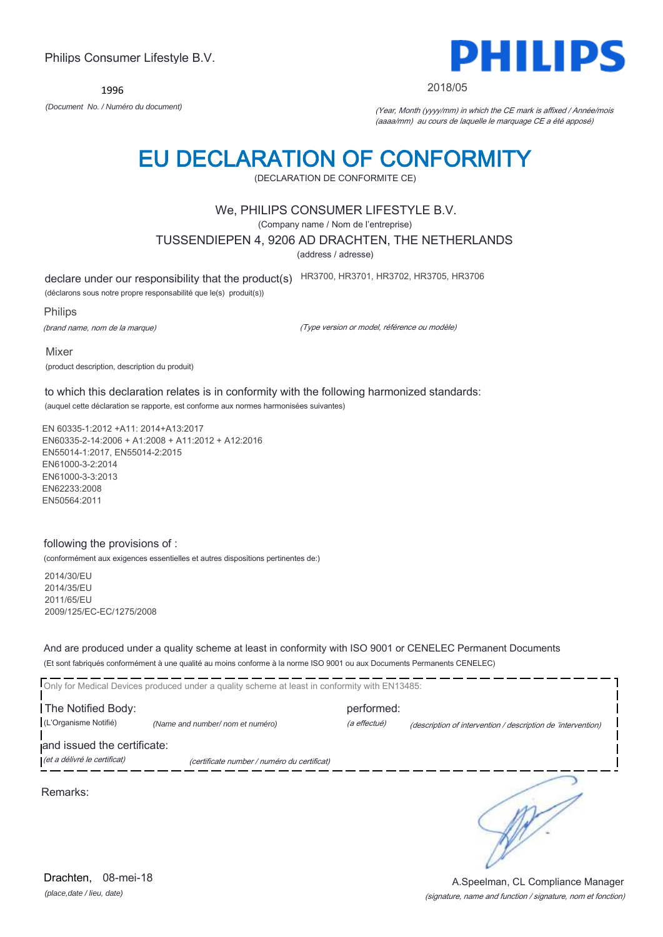*(place,date / lieu, date)* Drachten. 08-mei-18

(signature, name and function / signature, nom et fonction) A.Speelman, CL Compliance Manager

## Philips Consumer Lifestyle B.V.

1996

*(Document No. / Numéro du document)* (Year, Month (yyyy/mm) in which the CE mark is affixed / Année/mois (aaaa/mm) au cours de laquelle le marquage CE a été apposé)

2018/05

## EU DECLARATION OF CONFORMITY

(DECLARATION DE CONFORMITE CE)

## We, PHILIPS CONSUMER LIFESTYLE B.V.

(Company name / Nom de l'entreprise)

TUSSENDIEPEN 4, 9206 AD DRACHTEN, THE NETHERLANDS

(address / adresse)

declare under our responsibility that the product(s) HR3700, HR3701, HR3702, HR3705, HR3706

(déclarons sous notre propre responsabilité que le(s) produit(s))

Philips

(brand name, nom de la marque)

(Type version or model, référence ou modèle)

Mixer (product description, description du produit)

to which this declaration relates is in conformity with the following harmonized standards: (auquel cette déclaration se rapporte, est conforme aux normes harmonisées suivantes)

EN 60335-1:2012 +A11: 2014+A13:2017 EN60335-2-14:2006 + A1:2008 + A11:2012 + A12:2016 EN55014-1:2017, EN55014-2:2015 EN61000-3-2:2014 EN61000-3-3:2013 EN62233:2008 EN50564:2011

### following the provisions of :

(conformément aux exigences essentielles et autres dispositions pertinentes de:)

2014/30/EU 2014/35/EU 2011/65/EU 2009/125/EC-EC/1275/2008

And are produced under a quality scheme at least in conformity with ISO 9001 or CENELEC Permanent Documents (Et sont fabriqués conformément à une qualité au moins conforme à la norme ISO 9001 ou aux Documents Permanents CENELEC)

Only for Medical Devices produced under a quality scheme at least in conformity with EN13485: The Notified Body: performed: (L'Organisme Notifié) *(Name and number/ nom et numéro)* (a effectué) (description of intervention / description de 'intervention) and issued the certificate: (et a délivré le certificat) (certificate number / numéro du certificat) ∍ Remarks:

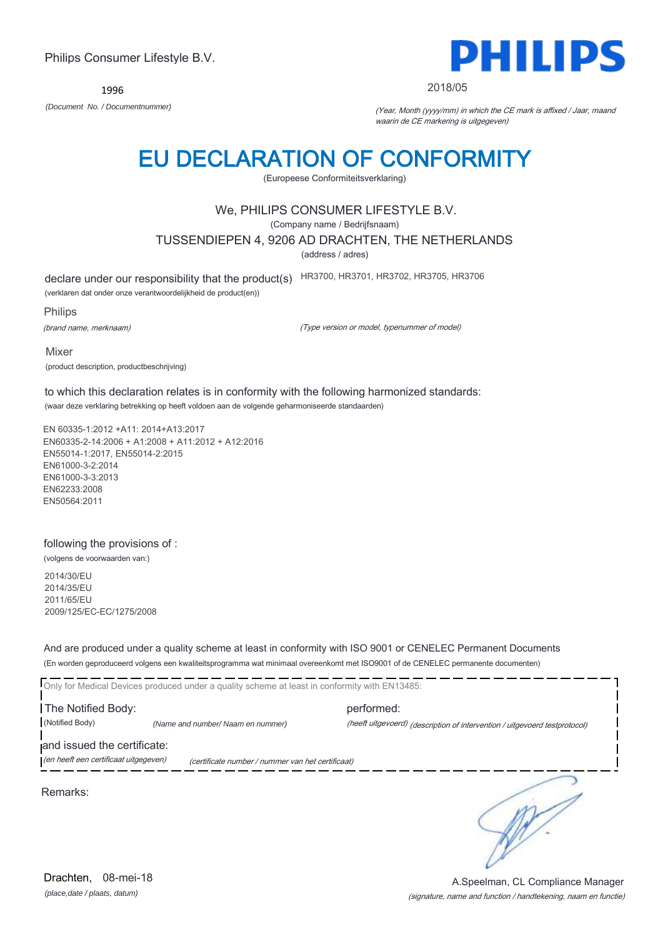1996

## EU DECLARATION OF CONFORMITY

(Europeese Conformiteitsverklaring)

## We, PHILIPS CONSUMER LIFESTYLE B.V.

(Company name / Bedrijfsnaam)

TUSSENDIEPEN 4, 9206 AD DRACHTEN, THE NETHERLANDS

(address / adres)

declare under our responsibility that the product(s) HR3700, HR3701, HR3702, HR3705, HR3706

(verklaren dat onder onze verantwoordelijkheid de product(en))

Philips

(brand name, merknaam)

(Type version or model, typenummer of model)

Mixer (product description, productbeschrijving)

to which this declaration relates is in conformity with the following harmonized standards: (waar deze verklaring betrekking op heeft voldoen aan de volgende geharmoniseerde standaarden)

EN 60335-1:2012 +A11: 2014+A13:2017 EN60335-2-14:2006 + A1:2008 + A11:2012 + A12:2016 EN55014-1:2017, EN55014-2:2015 EN61000-3-2:2014 EN61000-3-3:2013 EN62233:2008 EN50564:2011

### following the provisions of :

(volgens de voorwaarden van:)

2014/30/EU 2014/35/EU 2011/65/EU 2009/125/EC-EC/1275/2008

And are produced under a quality scheme at least in conformity with ISO 9001 or CENELEC Permanent Documents (En worden geproduceerd volgens een kwaliteitsprogramma wat minimaal overeenkomt met ISO9001 of de CENELEC permanente documenten)

Only for Medical Devices produced under a quality scheme at least in conformity with EN13485: The Notified Body: performed: (Notified Body) *(Name and number/ Naam en nummer)* (heeft uitgevoerd) (description of intervention / uitgevoerd testprotocol) and issued the certificate: (en heeft een certificaat uitgegeven) (certificate number / nummer van het certificaat)



∍

PHILII

#### 2018/05

waarin de CE markering is uitgegeven)



(signature, name and function / handtekening, naam en functie) A.Speelman, CL Compliance Manager

*(Document No. / Documentnummer)* (Year, Month (yyyy/mm) in which the CE mark is affixed / Jaar, maand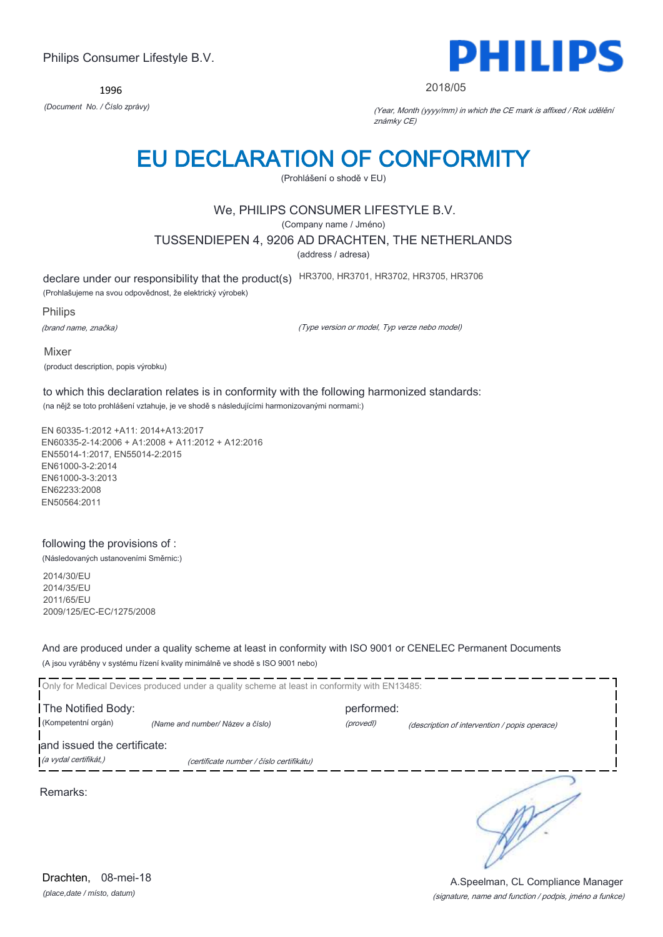1996



#### 2018/05

*(Document No. / Číslo zprávy)* (Year, Month (yyyy/mm) in which the CE mark is affixed / Rok udělění známky CE)

## EU DECLARATION OF CONFORMITY

(Prohlášení o shodě v EU)

## We, PHILIPS CONSUMER LIFESTYLE B.V.

(Company name / Jméno)

TUSSENDIEPEN 4, 9206 AD DRACHTEN, THE NETHERLANDS

(address / adresa)

declare under our responsibility that the product(s) HR3700, HR3701, HR3702, HR3705, HR3706

(Prohlašujeme na svou odpovědnost, že elektrický výrobek)

Philips

(brand name, značka)

(Type version or model, Typ verze nebo model)

Mixer (product description, popis výrobku)

to which this declaration relates is in conformity with the following harmonized standards: (na nějž se toto prohlášení vztahuje, je ve shodě s následujícími harmonizovanými normami:)

EN 60335-1:2012 +A11: 2014+A13:2017 EN60335-2-14:2006 + A1:2008 + A11:2012 + A12:2016 EN55014-1:2017, EN55014-2:2015 EN61000-3-2:2014 EN61000-3-3:2013 EN62233:2008 EN50564:2011

### following the provisions of :

(Následovaných ustanoveními Směrnic:)

2014/30/EU 2014/35/EU 2011/65/EU 2009/125/EC-EC/1275/2008

And are produced under a quality scheme at least in conformity with ISO 9001 or CENELEC Permanent Documents (A jsou vyráběny v systému řízení kvality minimálně ve shodě s ISO 9001 nebo)

|                             | Only for Medical Devices produced under a quality scheme at least in conformity with EN13485: |            |                                               |
|-----------------------------|-----------------------------------------------------------------------------------------------|------------|-----------------------------------------------|
| The Notified Body:          |                                                                                               | performed: |                                               |
| (Kompetentní orgán)         | (Name and number/ Název a číslo)                                                              | (provedl)  | (description of intervention / popis operace) |
| and issued the certificate: |                                                                                               |            |                                               |
| (a vydal certifikát,)       | (certificate number / číslo certifikátu)                                                      |            |                                               |
| Remarks:                    |                                                                                               |            |                                               |

*(place,date / místo, datum)* Drachten, 08-mei-18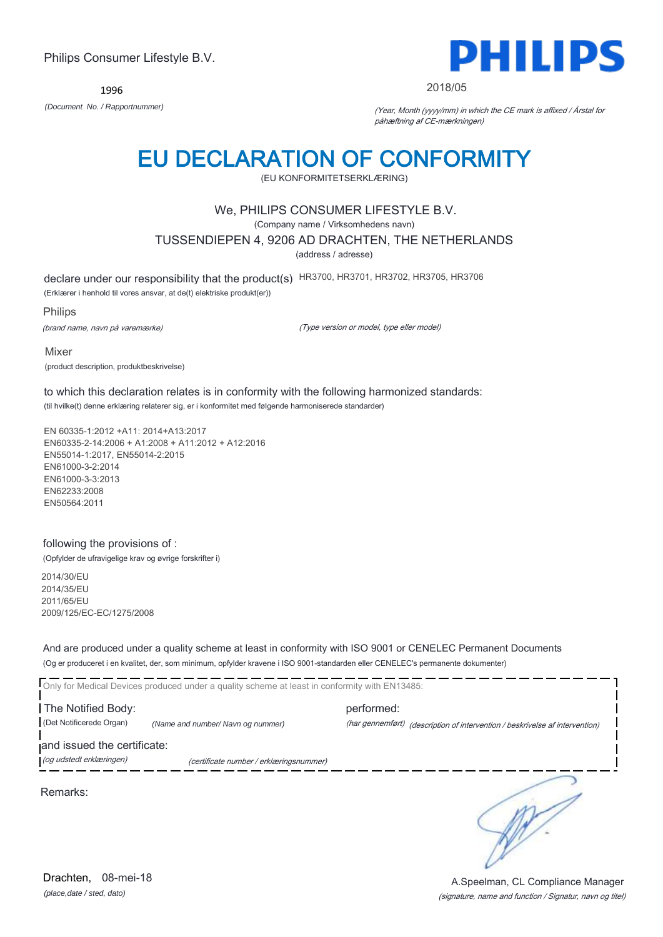1996

Philips Consumer Lifestyle B.V.



#### 2018/05

*(Document No. / Rapportnummer)* (Year, Month (yyyy/mm) in which the CE mark is affixed / Årstal for påhæftning af CE-mærkningen)

## EU DECLARATION OF CONFORMITY

(EU KONFORMITETSERKLÆRING)

### We, PHILIPS CONSUMER LIFESTYLE B.V.

(Company name / Virksomhedens navn)

TUSSENDIEPEN 4, 9206 AD DRACHTEN, THE NETHERLANDS

(address / adresse)

declare under our responsibility that the product(s) HR3700, HR3701, HR3702, HR3705, HR3706

(Erklærer i henhold til vores ansvar, at de(t) elektriske produkt(er))

#### Philips

(brand name, navn på varemærke)

(Type version or model, type eller model)

Mixer (product description, produktbeskrivelse)

to which this declaration relates is in conformity with the following harmonized standards: (til hvilke(t) denne erklæring relaterer sig, er i konformitet med følgende harmoniserede standarder)

EN 60335-1:2012 +A11: 2014+A13:2017 EN60335-2-14:2006 + A1:2008 + A11:2012 + A12:2016 EN55014-1:2017, EN55014-2:2015 EN61000-3-2:2014 EN61000-3-3:2013 EN62233:2008 EN50564:2011

#### following the provisions of :

(Opfylder de ufravigelige krav og øvrige forskrifter i)

2014/30/EU 2014/35/EU 2011/65/EU 2009/125/EC-EC/1275/2008

And are produced under a quality scheme at least in conformity with ISO 9001 or CENELEC Permanent Documents (Og er produceret i en kvalitet, der, som minimum, opfylder kravene i ISO 9001-standarden eller CENELEC's permanente dokumenter)

Only for Medical Devices produced under a quality scheme at least in conformity with EN13485: The Notified Body: example and the performed: (Det Notificerede Organ) *(Name and number/ Navn og nummer)* (har gennemført) (description of intervention / beskrivelse af intervention) and issued the certificate: (og udstedt erklæringen) (certificate number / erklæringsnummer)

Remarks:

∍

*(place,date / sted, dato)* Drachten. 08-mei-18

(signature, name and function / Signatur, navn og titel) A.Speelman, CL Compliance Manager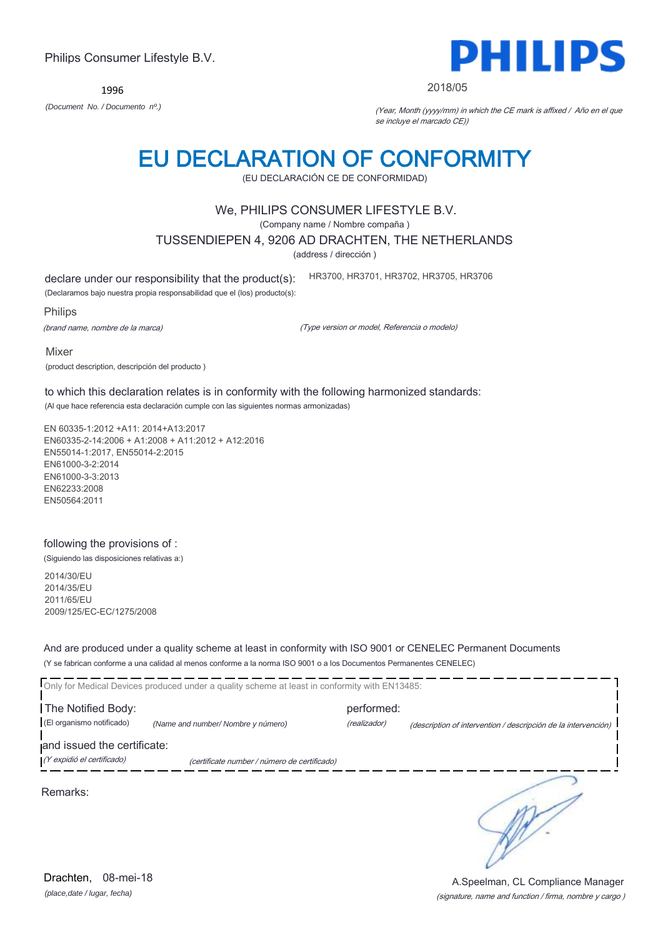1996

## EU DECLARATION OF CONFORMITY

(EU DECLARACIÓN CE DE CONFORMIDAD)

## We, PHILIPS CONSUMER LIFESTYLE B.V.

(Company name / Nombre compaña )

### TUSSENDIEPEN 4, 9206 AD DRACHTEN, THE NETHERLANDS

(address / dirección )

declare under our responsibility that the product(s):

(Declaramos bajo nuestra propia responsabilidad que el (los) producto(s):

Philips

(brand name, nombre de la marca)

(Type version or model, Referencia o modelo)

HR3700, HR3701, HR3702, HR3705, HR3706

Mixer

(product description, descripción del producto )

to which this declaration relates is in conformity with the following harmonized standards: (Al que hace referencia esta declaración cumple con las siguientes normas armonizadas)

EN 60335-1:2012 +A11: 2014+A13:2017 EN60335-2-14:2006 + A1:2008 + A11:2012 + A12:2016 EN55014-1:2017, EN55014-2:2015 EN61000-3-2:2014 EN61000-3-3:2013 EN62233:2008 EN50564:2011

### following the provisions of :

(Siguiendo las disposiciones relativas a:)

2014/30/EU 2014/35/EU 2011/65/EU 2009/125/EC-EC/1275/2008

And are produced under a quality scheme at least in conformity with ISO 9001 or CENELEC Permanent Documents (Y se fabrican conforme a una calidad al menos conforme a la norma ISO 9001 o a los Documentos Permanentes CENELEC)

|                                                           | <b>I</b> Only for Medical Devices produced under a quality scheme at least in conformity with EN13485: |                            |                                                                |
|-----------------------------------------------------------|--------------------------------------------------------------------------------------------------------|----------------------------|----------------------------------------------------------------|
| The Notified Body:<br>(El organismo notificado)           | (Name and number/Nombre y número)                                                                      | performed:<br>(realizador) | (description of intervention / descripción de la intervención) |
| and issued the certificate:<br>(Y expidió el certificado) | (certificate number / número de certificado)                                                           |                            |                                                                |
| Remarks:                                                  |                                                                                                        |                            |                                                                |

(signature, name and function / firma, nombre y cargo )

A.Speelman, CL Compliance Manager



#### 2018/05

*(Document No. / Documento nº.)* (Year, Month (yyyy/mm) in which the CE mark is affixed / Año en el que se incluye el marcado CE))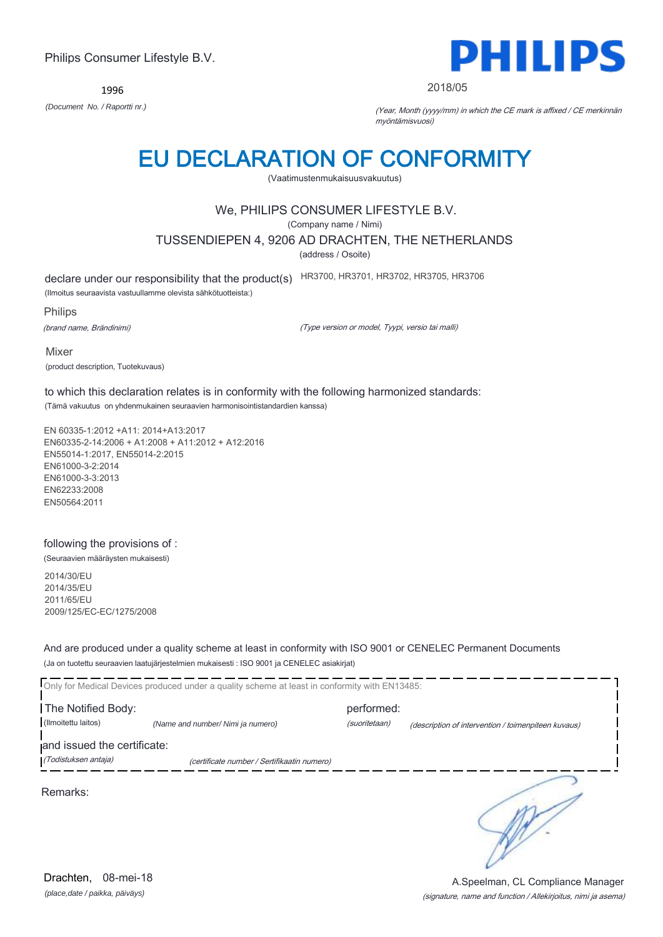1996



#### 2018/05

*(Document No. / Raportti nr.)* (Year, Month (yyyy/mm) in which the CE mark is affixed / CE merkinnän myöntämisvuosi)

## EU DECLARATION OF CONFORMITY

(Vaatimustenmukaisuusvakuutus)

## We, PHILIPS CONSUMER LIFESTYLE B.V.

(Company name / Nimi)

TUSSENDIEPEN 4, 9206 AD DRACHTEN, THE NETHERLANDS

(address / Osoite)

declare under our responsibility that the product(s) HR3700, HR3701, HR3702, HR3705, HR3706

(Ilmoitus seuraavista vastuullamme olevista sähkötuotteista:)

Philips

(brand name, Brändinimi)

(Type version or model, Tyypi, versio tai malli)

Mixer (product description, Tuotekuvaus)

to which this declaration relates is in conformity with the following harmonized standards: (Tämä vakuutus on yhdenmukainen seuraavien harmonisointistandardien kanssa)

EN 60335-1:2012 +A11: 2014+A13:2017 EN60335-2-14:2006 + A1:2008 + A11:2012 + A12:2016 EN55014-1:2017, EN55014-2:2015 EN61000-3-2:2014 EN61000-3-3:2013 EN62233:2008 EN50564:2011

## following the provisions of :

(Seuraavien määräysten mukaisesti)

2014/30/EU 2014/35/EU 2011/65/EU 2009/125/EC-EC/1275/2008

And are produced under a quality scheme at least in conformity with ISO 9001 or CENELEC Permanent Documents (Ja on tuotettu seuraavien laatujärjestelmien mukaisesti : ISO 9001 ja CENELEC asiakirjat)

|                                                     | Only for Medical Devices produced under a quality scheme at least in conformity with EN13485: |                             |                                                     |
|-----------------------------------------------------|-----------------------------------------------------------------------------------------------|-----------------------------|-----------------------------------------------------|
| The Notified Body:<br>(Ilmoitettu laitos)           | (Name and number/ Nimi ja numero)                                                             | performed:<br>(suoritetaan) | (description of intervention / toimenpiteen kuvaus) |
| and issued the certificate:<br>(Todistuksen antaja) | (certificate number / Sertifikaatin numero)                                                   |                             |                                                     |
| Remarks:                                            |                                                                                               |                             |                                                     |

*(place,date / paikka, päiväys)* Drachten, 08-mei-18

#### (signature, name and function / Allekirjoitus, nimi ja asema) A.Speelman, CL Compliance Manager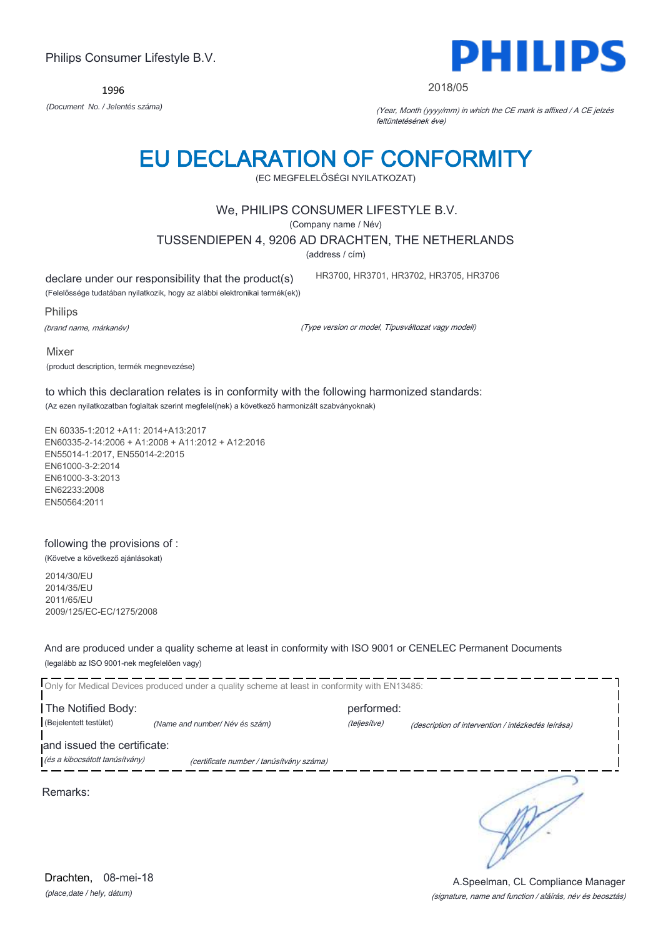(signature, name and function / aláírás, név és beosztás)

Philips Consumer Lifestyle B.V.

1996

## EU DECLARATION OF CONFORMITY

(EC MEGFELELŐSÉGI NYILATKOZAT)

## We, PHILIPS CONSUMER LIFESTYLE B.V.

(Company name / Név)

TUSSENDIEPEN 4, 9206 AD DRACHTEN, THE NETHERLANDS

(address / cím)

declare under our responsibility that the product(s)

(Felelőssége tudatában nyilatkozik, hogy az alábbi elektronikai termék(ek))

Philips

(brand name, márkanév)

(Type version or model, Típusváltozat vagy modell)

HR3700, HR3701, HR3702, HR3705, HR3706

Mixer

(product description, termék megnevezése)

to which this declaration relates is in conformity with the following harmonized standards: (Az ezen nyilatkozatban foglaltak szerint megfelel(nek) a következő harmonizált szabványoknak)

EN 60335-1:2012 +A11: 2014+A13:2017 EN60335-2-14:2006 + A1:2008 + A11:2012 + A12:2016 EN55014-1:2017, EN55014-2:2015 EN61000-3-2:2014 EN61000-3-3:2013 EN62233:2008 EN50564:2011

## following the provisions of :

(Követve a következő ajánlásokat)

2014/30/EU 2014/35/EU 2011/65/EU 2009/125/EC-EC/1275/2008

And are produced under a quality scheme at least in conformity with ISO 9001 or CENELEC Permanent Documents (legalább az ISO 9001-nek megfelelően vagy)

|                                | Only for Medical Devices produced under a quality scheme at least in conformity with EN13485: |              |                                                    |
|--------------------------------|-----------------------------------------------------------------------------------------------|--------------|----------------------------------------------------|
| The Notified Body:             |                                                                                               | performed:   |                                                    |
| (Bejelentett testület)         | (Name and number/Név és szám)                                                                 | (teljesítve) | (description of intervention / intézkedés leírása) |
| and issued the certificate:    |                                                                                               |              |                                                    |
| (és a kibocsátott tanúsítvány) | (certificate number / tanúsítvány száma)                                                      |              |                                                    |
| Remarks:                       |                                                                                               |              |                                                    |

# PHILIPS

2018/05

*(Document No. / Jelentés száma)* (Year, Month (yyyy/mm) in which the CE mark is affixed / A CE jelzés feltüntetésének éve)



A.Speelman, CL Compliance Manager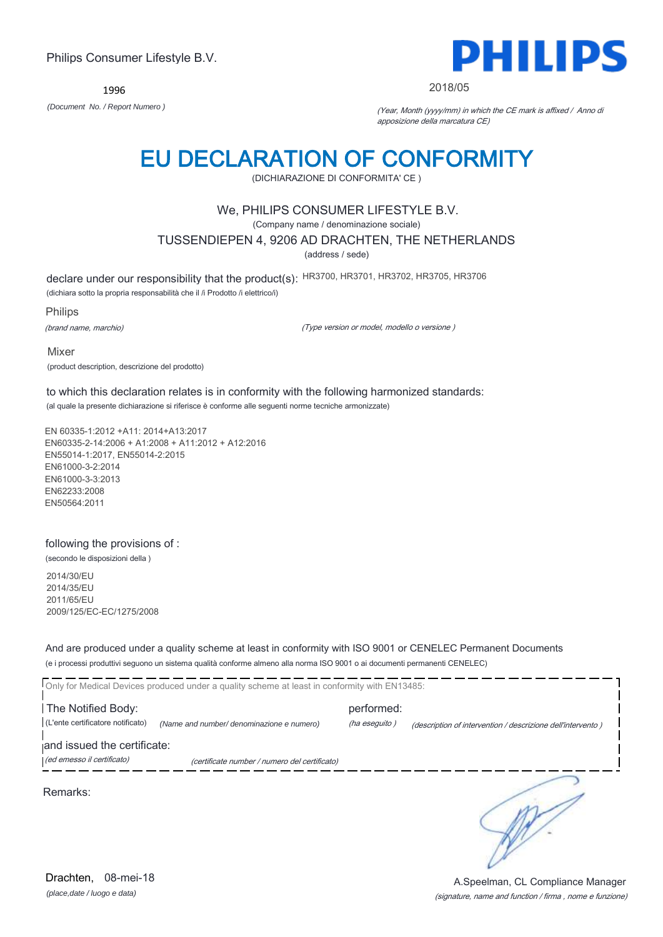1996



#### 2018/05

*(Document No. / Report Numero )* (Year, Month (yyyy/mm) in which the CE mark is affixed / Anno di apposizione della marcatura CE)

## EU DECLARATION OF CONFORMITY

(DICHIARAZIONE DI CONFORMITA' CE )

## We, PHILIPS CONSUMER LIFESTYLE B.V.

(Company name / denominazione sociale)

TUSSENDIEPEN 4, 9206 AD DRACHTEN, THE NETHERLANDS

(address / sede)

declare under our responsibility that the product(s): HR3700, HR3701, HR3702, HR3705, HR3706

(dichiara sotto la propria responsabilità che il /i Prodotto /i elettrico/i)

Philips

(brand name, marchio)

(Type version or model, modello o versione )

Mixer (product description, descrizione del prodotto)

to which this declaration relates is in conformity with the following harmonized standards: (al quale la presente dichiarazione si riferisce è conforme alle seguenti norme tecniche armonizzate)

EN 60335-1:2012 +A11: 2014+A13:2017 EN60335-2-14:2006 + A1:2008 + A11:2012 + A12:2016 EN55014-1:2017, EN55014-2:2015 EN61000-3-2:2014 EN61000-3-3:2013 EN62233:2008 EN50564:2011

### following the provisions of :

(secondo le disposizioni della )

2014/30/EU 2014/35/EU 2011/65/EU 2009/125/EC-EC/1275/2008

And are produced under a quality scheme at least in conformity with ISO 9001 or CENELEC Permanent Documents (e i processi produttivi seguono un sistema qualità conforme almeno alla norma ISO 9001 o ai documenti permanenti CENELEC)

|                                                           | Only for Medical Devices produced under a quality scheme at least in conformity with EN13485: |                             |                                                             |
|-----------------------------------------------------------|-----------------------------------------------------------------------------------------------|-----------------------------|-------------------------------------------------------------|
| The Notified Body:<br>(L'ente certificatore notificato)   | (Name and number/ denominazione e numero)                                                     | performed:<br>(ha eseguito) | (description of intervention / descrizione dell'intervento) |
| and issued the certificate:<br>(ed emesso il certificato) | (certificate number / numero del certificato)                                                 |                             |                                                             |
| Remarks:                                                  |                                                                                               |                             |                                                             |

(signature, name and function / firma , nome e funzione) A.Speelman, CL Compliance Manager

*(place,date / luogo e data)* Drachten, 08-mei-18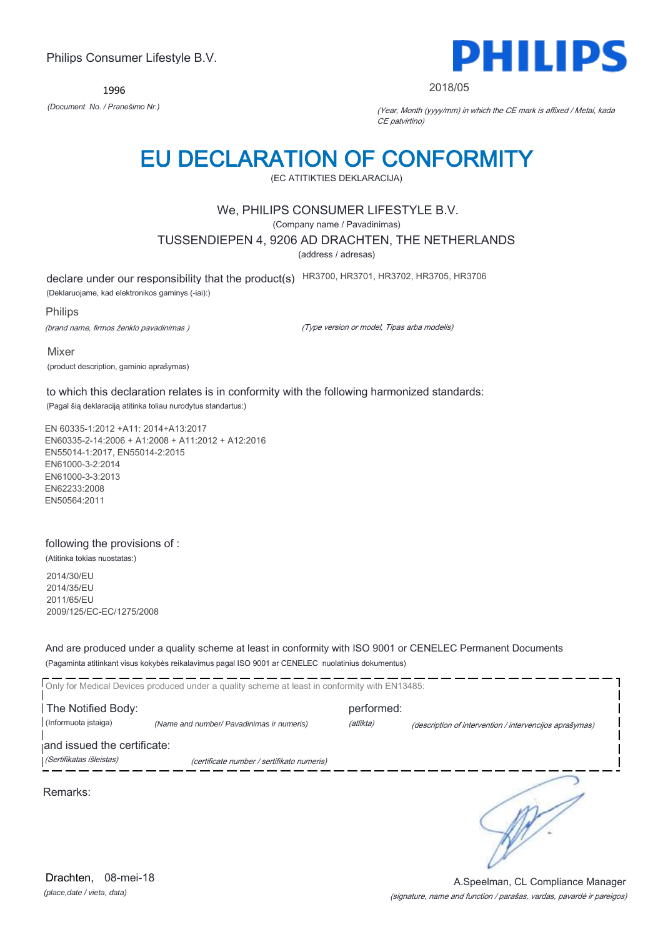1996



#### 2018/05

*(Document No. / Pranešimo Nr.)* (Year, Month (yyyy/mm) in which the CE mark is affixed / Metai, kada CE patvirtino)

# EU DECLARATION OF CONFORMITY

(EC ATITIKTIES DEKLARACIJA)

### We, PHILIPS CONSUMER LIFESTYLE B.V.

(Company name / Pavadinimas)

TUSSENDIEPEN 4, 9206 AD DRACHTEN, THE NETHERLANDS

(address / adresas)

declare under our responsibility that the product(s) HR3700, HR3701, HR3702, HR3705, HR3706

(Deklaruojame, kad elektronikos gaminys (-iai):)

Philips

(brand name, firmos ženklo pavadinimas )

(Type version or model, Tipas arba modelis)

Mixer

(product description, gaminio aprašymas)

to which this declaration relates is in conformity with the following harmonized standards:

(Pagal šią deklaraciją atitinka toliau nurodytus standartus:)

EN 60335-1:2012 +A11: 2014+A13:2017 EN60335-2-14:2006 + A1:2008 + A11:2012 + A12:2016 EN55014-1:2017, EN55014-2:2015 EN61000-3-2:2014 EN61000-3-3:2013 EN62233:2008 EN50564:2011

### following the provisions of :

(Atitinka tokias nuostatas:)

2014/30/EU 2014/35/EU 2011/65/EU 2009/125/EC-EC/1275/2008

And are produced under a quality scheme at least in conformity with ISO 9001 or CENELEC Permanent Documents (Pagaminta atitinkant visus kokybės reikalavimus pagal ISO 9001 ar CENELEC nuolatinius dokumentus)

|                             | Only for Medical Devices produced under a quality scheme at least in conformity with EN13485: |            |                                                         |
|-----------------------------|-----------------------------------------------------------------------------------------------|------------|---------------------------------------------------------|
| The Notified Body:          |                                                                                               | performed: |                                                         |
| (Informuota istaiga)        | (Name and number/ Pavadinimas ir numeris)                                                     | (atlikta)  | (description of intervention / intervencijos aprašymas) |
| and issued the certificate: |                                                                                               |            |                                                         |
| (Sertifikatas išleistas)    | (certificate number / sertifikato numeris)                                                    |            |                                                         |
| Remarks:                    |                                                                                               |            |                                                         |

*(place,date / vieta, data)* Drachten, 08-mei-18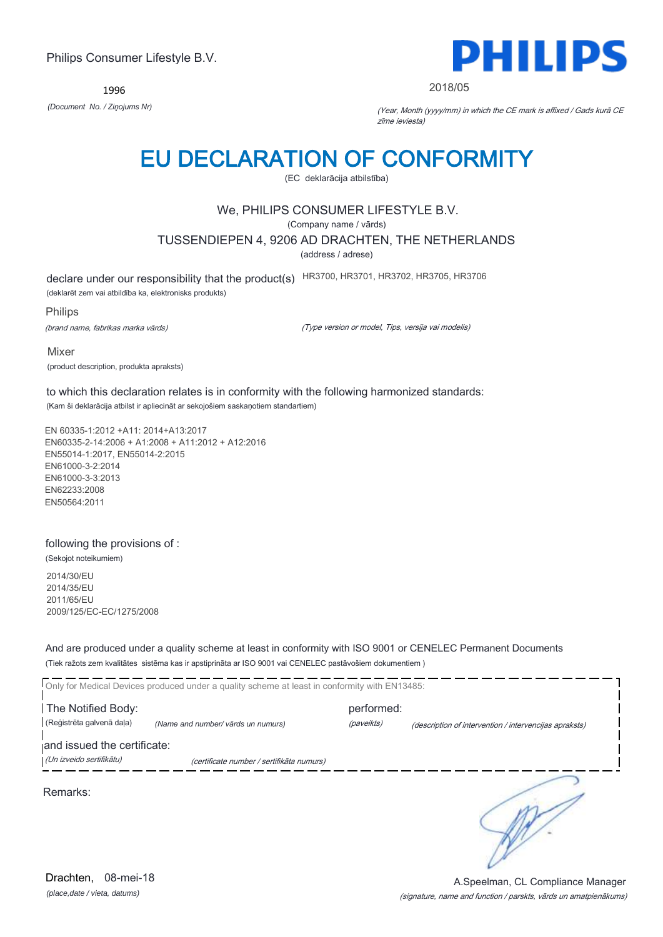1996



#### 2018/05

*(Document No. / Ziņojums Nr)* (Year, Month (yyyy/mm) in which the CE mark is affixed / Gads kurā CE zīme ieviesta)

## EU DECLARATION OF CONFORMITY

(EC deklarācija atbilstība)

## We, PHILIPS CONSUMER LIFESTYLE B.V.

(Company name / vārds)

TUSSENDIEPEN 4, 9206 AD DRACHTEN, THE NETHERLANDS

(address / adrese)

declare under our responsibility that the product(s) HR3700, HR3701, HR3702, HR3705, HR3706

(deklarēt zem vai atbildība ka, elektronisks produkts)

Philips

(brand name, fabrikas marka vārds)

(Type version or model, Tips, versija vai modelis)

Mixer (product description, produkta apraksts)

to which this declaration relates is in conformity with the following harmonized standards: (Kam ši deklarācija atbilst ir apliecināt ar sekojošiem saskaņotiem standartiem)

EN 60335-1:2012 +A11: 2014+A13:2017 EN60335-2-14:2006 + A1:2008 + A11:2012 + A12:2016 EN55014-1:2017, EN55014-2:2015 EN61000-3-2:2014 EN61000-3-3:2013 EN62233:2008 EN50564:2011

#### following the provisions of :

(Sekojot noteikumiem)

2014/30/EU 2014/35/EU 2011/65/EU 2009/125/EC-EC/1275/2008

And are produced under a quality scheme at least in conformity with ISO 9001 or CENELEC Permanent Documents (Tiek ražots zem kvalitātes sistēma kas ir apstiprināta ar ISO 9001 vai CENELEC pastāvošiem dokumentiem )

|                             | Only for Medical Devices produced under a quality scheme at least in conformity with EN13485: |            |                                                        |
|-----------------------------|-----------------------------------------------------------------------------------------------|------------|--------------------------------------------------------|
| The Notified Body:          |                                                                                               | performed: |                                                        |
| (Reģistrēta galvenā daļa)   | (Name and number/ vārds un numurs)                                                            | (paveikts) | (description of intervention / intervencijas apraksts) |
| and issued the certificate: |                                                                                               |            |                                                        |
| (Un izveido sertifikātu)    | (certificate number / sertifikāta numurs)                                                     |            |                                                        |
| Remarks:                    |                                                                                               |            |                                                        |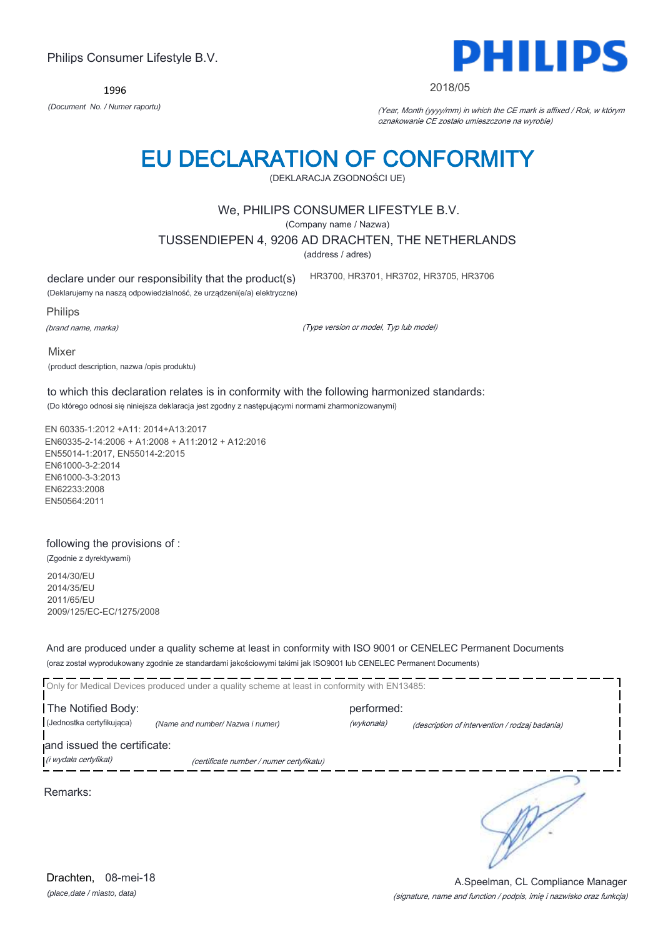1996



#### 2018/05

*(Document No. / Numer raportu)* (Year, Month (yyyy/mm) in which the CE mark is affixed / Rok, w którym oznakowanie CE zostało umieszczone na wyrobie)

# EU DECLARATION OF CONFORMITY

(DEKLARACJA ZGODNOŚCI UE)

### We, PHILIPS CONSUMER LIFESTYLE B.V.

(Company name / Nazwa)

TUSSENDIEPEN 4, 9206 AD DRACHTEN, THE NETHERLANDS

(address / adres)

declare under our responsibility that the product(s)

(Deklarujemy na naszą odpowiedzialność, że urządzeni(e/a) elektryczne)

Philips

(brand name, marka)

(Type version or model, Typ lub model)

HR3700, HR3701, HR3702, HR3705, HR3706

Mixer (product description, nazwa /opis produktu)

to which this declaration relates is in conformity with the following harmonized standards: (Do którego odnosi się niniejsza deklaracja jest zgodny z następującymi normami zharmonizowanymi)

EN 60335-1:2012 +A11: 2014+A13:2017 EN60335-2-14:2006 + A1:2008 + A11:2012 + A12:2016 EN55014-1:2017, EN55014-2:2015 EN61000-3-2:2014 EN61000-3-3:2013 EN62233:2008 EN50564:2011

### following the provisions of :

(Zgodnie z dyrektywami)

2014/30/EU 2014/35/EU 2011/65/EU 2009/125/EC-EC/1275/2008

And are produced under a quality scheme at least in conformity with ISO 9001 or CENELEC Permanent Documents (oraz został wyprodukowany zgodnie ze standardami jakościowymi takimi jak ISO9001 lub CENELEC Permanent Documents)

|                                                      | Only for Medical Devices produced under a quality scheme at least in conformity with EN13485: |            |                                                |
|------------------------------------------------------|-----------------------------------------------------------------------------------------------|------------|------------------------------------------------|
| The Notified Body:                                   |                                                                                               | performed: |                                                |
| (Jednostka certyfikująca)                            | (Name and number/ Nazwa i numer)                                                              | (wykonała) | (description of intervention / rodzaj badania) |
| and issued the certificate:<br>(i wydała certyfikat) | (certificate number / numer certyfikatu)                                                      |            |                                                |
| Remarks:                                             |                                                                                               |            |                                                |

*(place,date / miasto, data)* Drachten, 08-mei-18

#### (signature, name and function / podpis, imię i nazwisko oraz funkcja) A.Speelman, CL Compliance Manager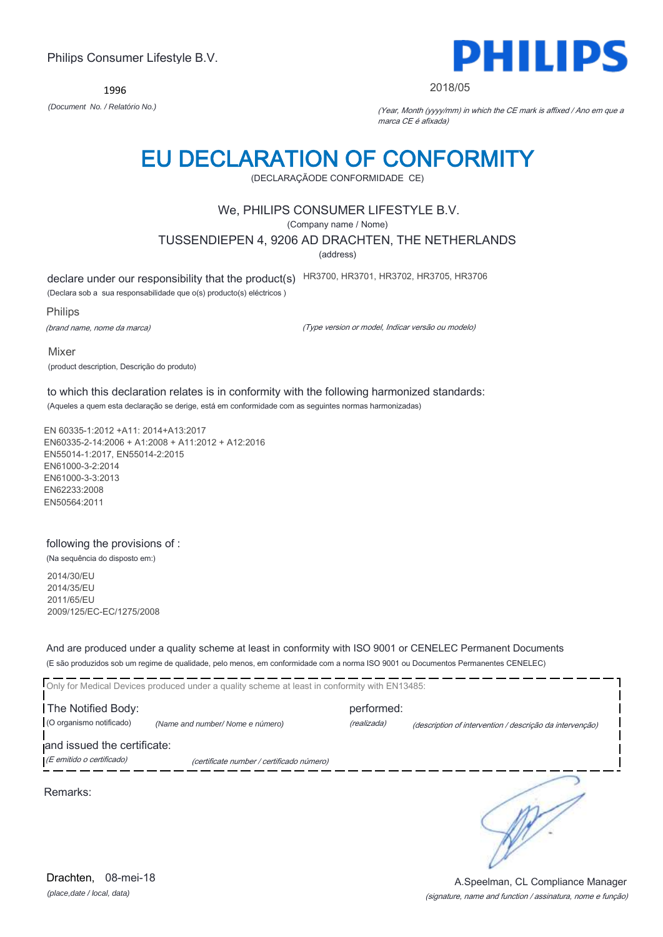1996



#### 2018/05

*(Document No. / Relatório No.)* (Year, Month (yyyy/mm) in which the CE mark is affixed / Ano em que a marca CE é afixada)

# EU DECLARATION OF CONFORMITY

(DECLARAÇÃODE CONFORMIDADE CE)

### We, PHILIPS CONSUMER LIFESTYLE B.V.

(Company name / Nome)

TUSSENDIEPEN 4, 9206 AD DRACHTEN, THE NETHERLANDS

(address)

declare under our responsibility that the product(s) HR3700, HR3701, HR3702, HR3705, HR3706

(Declara sob a sua responsabilidade que o(s) producto(s) eléctricos )

Philips

(brand name, nome da marca)

(Type version or model, Indicar versão ou modelo)

Mixer (product description, Descrição do produto)

to which this declaration relates is in conformity with the following harmonized standards: (Aqueles a quem esta declaração se derige, está em conformidade com as seguintes normas harmonizadas)

EN 60335-1:2012 +A11: 2014+A13:2017 EN60335-2-14:2006 + A1:2008 + A11:2012 + A12:2016 EN55014-1:2017, EN55014-2:2015 EN61000-3-2:2014 EN61000-3-3:2013 EN62233:2008 EN50564:2011

### following the provisions of :

(Na sequência do disposto em:) 2014/30/EU

2014/35/EU 2011/65/EU 2009/125/EC-EC/1275/2008

And are produced under a quality scheme at least in conformity with ISO 9001 or CENELEC Permanent Documents (E são produzidos sob um regime de qualidade, pelo menos, em conformidade com a norma ISO 9001 ou Documentos Permanentes CENELEC)

|                             | Only for Medical Devices produced under a quality scheme at least in conformity with EN13485: |             |                                                          |
|-----------------------------|-----------------------------------------------------------------------------------------------|-------------|----------------------------------------------------------|
| The Notified Body:          |                                                                                               | performed:  |                                                          |
| (O organismo notificado)    | (Name and number/Nome e número)                                                               | (realizada) | (description of intervention / descrição da intervenção) |
| and issued the certificate: |                                                                                               |             |                                                          |
| (E emitido o certificado)   | (certificate number / certificado número)                                                     |             |                                                          |
|                             |                                                                                               |             |                                                          |

Remarks:

*(place,date / local, data)* Drachten, 08-mei-18

#### (signature, name and function / assinatura, nome e função) A.Speelman, CL Compliance Manager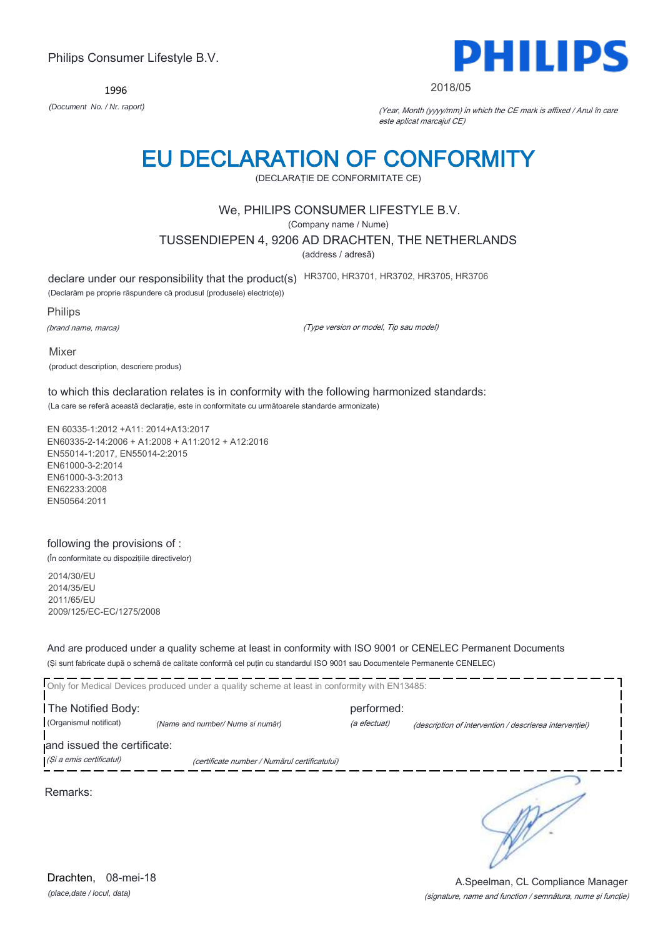1996



#### 2018/05

*(Document No. / Nr. raport)* (Year, Month (yyyy/mm) in which the CE mark is affixed / Anul în care este aplicat marcajul CE)

# EU DECLARATION OF CONFORMITY

(DECLARAŢIE DE CONFORMITATE CE)

## We, PHILIPS CONSUMER LIFESTYLE B.V.

(Company name / Nume)

TUSSENDIEPEN 4, 9206 AD DRACHTEN, THE NETHERLANDS

(address / adresă)

declare under our responsibility that the product(s) HR3700, HR3701, HR3702, HR3705, HR3706

(Declarăm pe proprie răspundere că produsul (produsele) electric(e))

Philips

(brand name, marca)

(Type version or model, Tip sau model)

Mixer (product description, descriere produs)

to which this declaration relates is in conformity with the following harmonized standards: (La care se referă această declaraţie, este in conformitate cu următoarele standarde armonizate)

EN 60335-1:2012 +A11: 2014+A13:2017 EN60335-2-14:2006 + A1:2008 + A11:2012 + A12:2016 EN55014-1:2017, EN55014-2:2015 EN61000-3-2:2014 EN61000-3-3:2013 EN62233:2008 EN50564:2011

### following the provisions of :

(În conformitate cu dispoziţiile directivelor)

2014/30/EU 2014/35/EU 2011/65/EU 2009/125/EC-EC/1275/2008

And are produced under a quality scheme at least in conformity with ISO 9001 or CENELEC Permanent Documents (Şi sunt fabricate după o schemă de calitate conformă cel puţin cu standardul ISO 9001 sau Documentele Permanente CENELEC)

|                             | Only for Medical Devices produced under a quality scheme at least in conformity with EN13485: |              |                                                         |
|-----------------------------|-----------------------------------------------------------------------------------------------|--------------|---------------------------------------------------------|
| The Notified Body:          |                                                                                               | performed:   |                                                         |
| (Organismul notificat)      | (Name and number/Nume si număr)                                                               | (a efectuat) | (description of intervention / descrierea interventiei) |
| and issued the certificate: |                                                                                               |              |                                                         |
| (Și a emis certificatul)    | (certificate number / Numărul certificatului)                                                 |              |                                                         |
|                             |                                                                                               |              |                                                         |

Remarks:

*(place,date / locul, data)* Drachten, 08-mei-18

### (signature, name and function / semnătura, nume şi funcţie) A.Speelman, CL Compliance Manager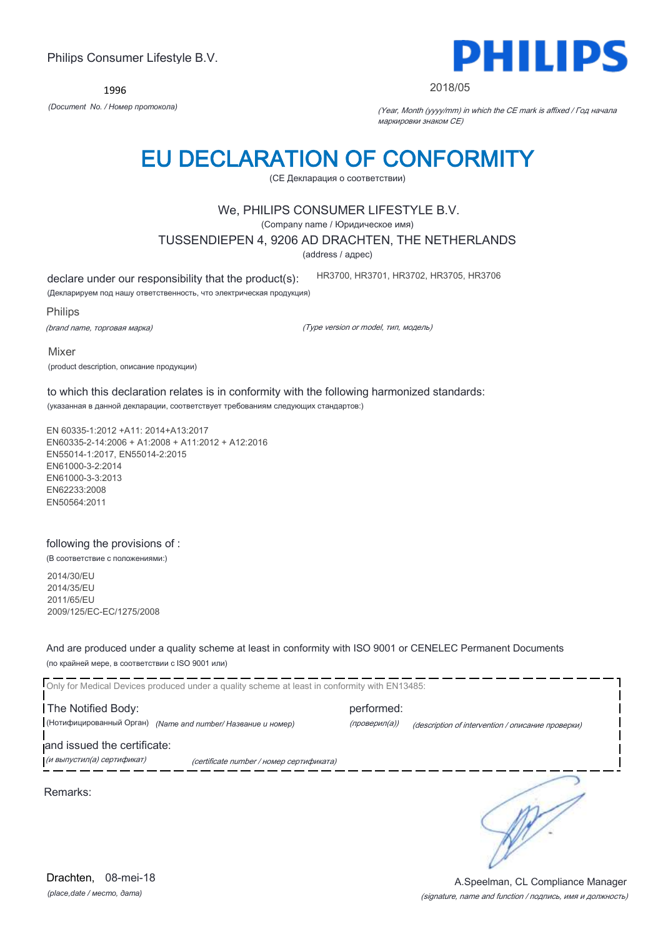1996



#### 2018/05

*(Document No. / Номер протокола)* (Year, Month (yyyy/mm) in which the CE mark is affixed / Год начала маркировки знаком CE)

## EU DECLARATION OF CONFORMITY

(CE Декларация о соответствии)

### We, PHILIPS CONSUMER LIFESTYLE B.V.

(Company name / Юридическое имя)

TUSSENDIEPEN 4, 9206 AD DRACHTEN, THE NETHERLANDS

(address / адрес)

declare under our responsibility that the product(s):

(Декларируем под нашу ответственность, что электрическая продукция)

Philips

(brand name, торговая марка)

(Type version or model, тип, модель)

HR3700, HR3701, HR3702, HR3705, HR3706

Mixer (product description, описание продукции)

to which this declaration relates is in conformity with the following harmonized standards: (указанная в данной декларации, соответствует требованиям следующих стандартов:)

EN 60335-1:2012 +A11: 2014+A13:2017 EN60335-2-14:2006 + A1:2008 + A11:2012 + A12:2016 EN55014-1:2017, EN55014-2:2015 EN61000-3-2:2014 EN61000-3-3:2013 EN62233:2008 EN50564:2011

### following the provisions of :

(В соответствие с положениями:)

2014/30/EU 2014/35/EU 2011/65/EU 2009/125/EC-EC/1275/2008

And are produced under a quality scheme at least in conformity with ISO 9001 or CENELEC Permanent Documents (по крайней мере, в соответствии с ISO 9001 или)

Only for Medical Devices produced under a quality scheme at least in conformity with EN13485: The Notified Body: example and performed: (Нотифицированный Орган) *(Name and number/ Название и номер)* (проверил(а)) (description of intervention / описание проверки) and issued the certificate: **.**<br>При выпустил(а) сертификат) при сеrtificate number / номер сертификата) ∍ Remarks:

*(place,date / место, дата)* Drachten, 08-mei-18

#### (signature, name and function / подпись, имя и должность) A.Speelman, CL Compliance Manager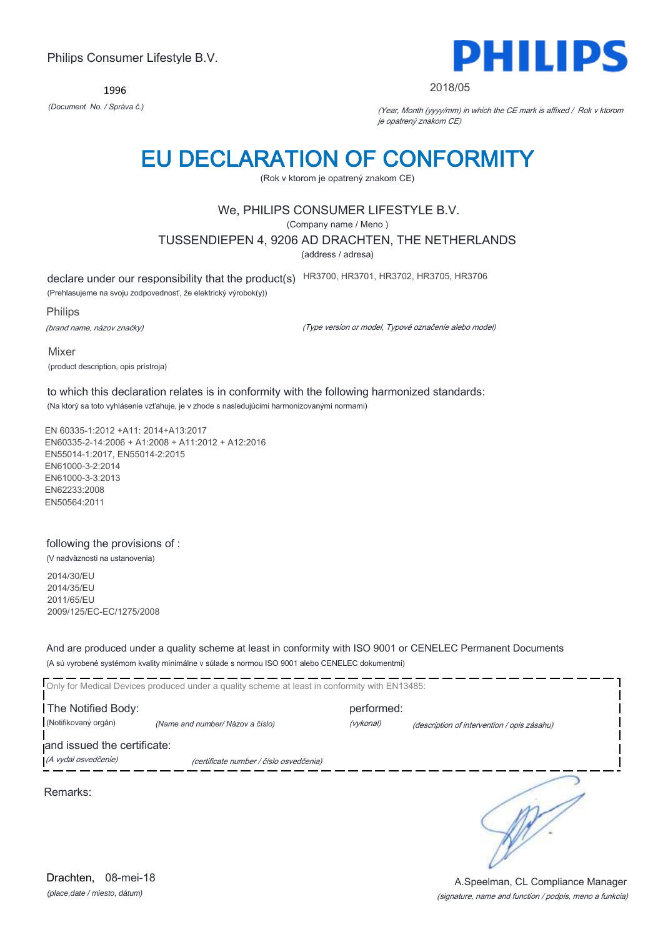1996



#### 2018/05

*(Document No. / Správa č.)* (Year, Month (yyyy/mm) in which the CE mark is affixed / Rok v ktorom je opatrený znakom CE)

## EU DECLARATION OF CONFORMITY

(Rok v ktorom je opatrený znakom CE)

## We, PHILIPS CONSUMER LIFESTYLE B.V.

(Company name / Meno )

TUSSENDIEPEN 4, 9206 AD DRACHTEN, THE NETHERLANDS

(address / adresa)

declare under our responsibility that the product(s) HR3700, HR3701, HR3702, HR3705, HR3706

(Prehlasujeme na svoju zodpovednosť, že elektrický výrobok(y))

Philips

(brand name, názov značky)

(Type version or model, Typové označenie alebo model)

Mixer (product description, opis prístroja)

to which this declaration relates is in conformity with the following harmonized standards: (Na ktorý sa toto vyhlásenie vzťahuje, je v zhode s nasledujúcimi harmonizovanými normami)

EN 60335-1:2012 +A11: 2014+A13:2017 EN60335-2-14:2006 + A1:2008 + A11:2012 + A12:2016 EN55014-1:2017, EN55014-2:2015 EN61000-3-2:2014 EN61000-3-3:2013 EN62233:2008 EN50564:2011

### following the provisions of :

(V nadväznosti na ustanovenia)

2014/30/EU 2014/35/EU 2011/65/EU 2009/125/EC-EC/1275/2008

And are produced under a quality scheme at least in conformity with ISO 9001 or CENELEC Permanent Documents (A sú vyrobené systémom kvality minimálne v súlade s normou ISO 9001 alebo CENELEC dokumentmi)

Only for Medical Devices produced under a quality scheme at least in conformity with EN13485: The Notified Body: example and the performed: (Notifikovaný orgán) *(Name and number/ Názov a číslo)* (vykonal) (description of intervention / opis zásahu) and issued the certificate: (A vydal osvedčenie) (certificate number / číslo osvedčenia) ∍ Remarks:

*(place,date / miesto, dátum)* Drachten, 08-mei-18

#### (signature, name and function / podpis, meno a funkcia) A.Speelman, CL Compliance Manager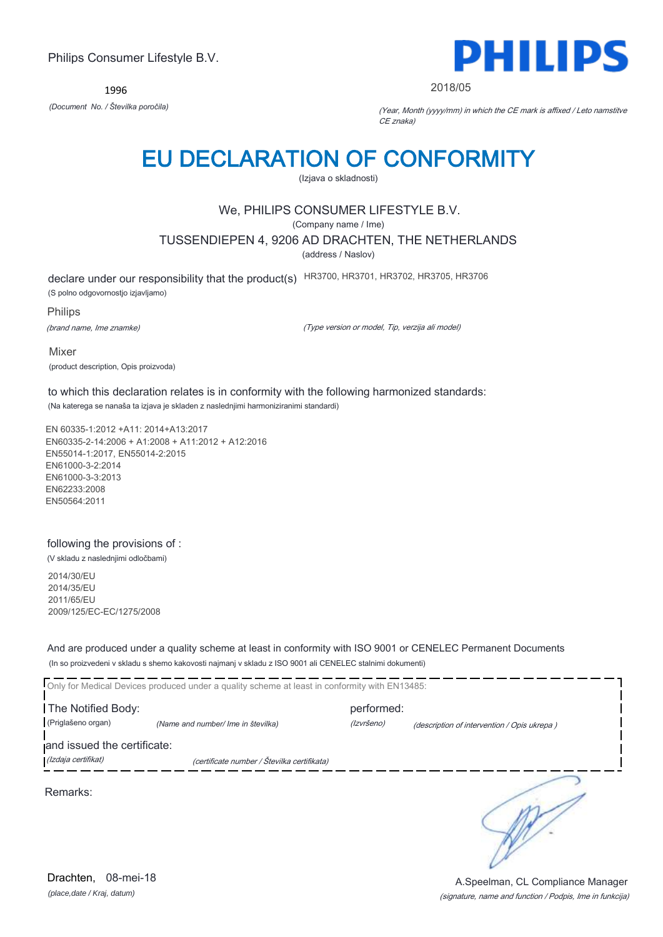1996



#### 2018/05

*(Document No. / Številka poročila)* (Year, Month (yyyy/mm) in which the CE mark is affixed / Leto namstitve CE znaka)

## EU DECLARATION OF CONFORMITY

(Izjava o skladnosti)

## We, PHILIPS CONSUMER LIFESTYLE B.V.

(Company name / Ime)

TUSSENDIEPEN 4, 9206 AD DRACHTEN, THE NETHERLANDS

(address / Naslov)

declare under our responsibility that the product(s) HR3700, HR3701, HR3702, HR3705, HR3706

(S polno odgovornostjo izjavljamo)

Philips

(brand name, Ime znamke)

(Type version or model, Tip, verzija ali model)

Mixer (product description, Opis proizvoda)

to which this declaration relates is in conformity with the following harmonized standards: (Na katerega se nanaša ta izjava je skladen z naslednjimi harmoniziranimi standardi)

EN 60335-1:2012 +A11: 2014+A13:2017 EN60335-2-14:2006 + A1:2008 + A11:2012 + A12:2016 EN55014-1:2017, EN55014-2:2015 EN61000-3-2:2014 EN61000-3-3:2013 EN62233:2008 EN50564:2011

### following the provisions of :

(V skladu z naslednjimi odločbami)

2014/30/EU 2014/35/EU 2011/65/EU 2009/125/EC-EC/1275/2008

And are produced under a quality scheme at least in conformity with ISO 9001 or CENELEC Permanent Documents (In so proizvedeni v skladu s shemo kakovosti najmanj v skladu z ISO 9001 ali CENELEC stalnimi dokumenti)

|                             | Only for Medical Devices produced under a quality scheme at least in conformity with EN13485: |            |                                             |
|-----------------------------|-----------------------------------------------------------------------------------------------|------------|---------------------------------------------|
| The Notified Body:          |                                                                                               | performed: |                                             |
| (Priglašeno organ)          | (Name and number/ Ime in številka)                                                            | (Izvršeno) | (description of intervention / Opis ukrepa) |
| and issued the certificate: |                                                                                               |            |                                             |
| (Izdaja certifikat)         | (certificate number / Številka certifikata)                                                   |            |                                             |
| Remarks:                    |                                                                                               |            |                                             |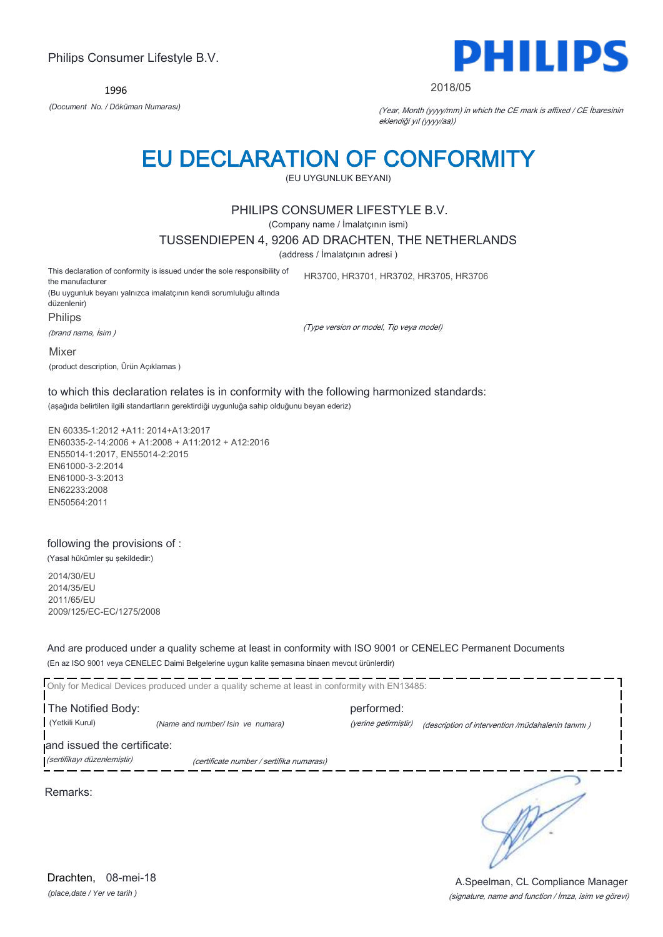1996



#### 2018/05

*(Document No. / Döküman Numarası)* (Year, Month (yyyy/mm) in which the CE mark is affixed / CE İbaresinin eklendiği yıl (yyyy/aa))

## EU DECLARATION OF CONFORMITY

(EU UYGUNLUK BEYANI)

### PHILIPS CONSUMER LIFESTYLE B.V.

(Company name / İmalatçının ismi)

TUSSENDIEPEN 4, 9206 AD DRACHTEN, THE NETHERLANDS

(address / İmalatçının adresi )

This declaration of conformity is issued under the sole responsibility of the manufacturer (Bu uygunluk beyanı yalnızca imalatçının kendi sorumluluğu altında düzenlenir) Philips

(brand name, İsim )

(Type version or model, Tip veya model)

HR3700, HR3701, HR3702, HR3705, HR3706

Mixer

(product description, Ürün Açıklamas )

to which this declaration relates is in conformity with the following harmonized standards: (aşağıda belirtilen ilgili standartların gerektirdiği uygunluğa sahip olduğunu beyan ederiz)

EN 60335-1:2012 +A11: 2014+A13:2017 EN60335-2-14:2006 + A1:2008 + A11:2012 + A12:2016 EN55014-1:2017, EN55014-2:2015 EN61000-3-2:2014 EN61000-3-3:2013 EN62233:2008 EN50564:2011

### following the provisions of :

(Yasal hükümler şu şekildedir:)

2014/30/EU 2014/35/EU 2011/65/EU 2009/125/EC-EC/1275/2008

And are produced under a quality scheme at least in conformity with ISO 9001 or CENELEC Permanent Documents (En az ISO 9001 veya CENELEC Daimi Belgelerine uygun kalite şemasına binaen mevcut ürünlerdir)

Only for Medical Devices produced under a quality scheme at least in conformity with EN13485: The Notified Body: performed: (Yetkili Kurul) *(Name and number/ Isin ve numara)* (yerine getirmiştir) (description of intervention /müdahalenin tanımı ) and issued the certificate:

(sertifikayı düzenlemiştir) (certificate number / sertifika numarası)

Remarks:

*(place,date / Yer ve tarih )* Drachten, 08-mei-18

∋

(signature, name and function / İmza, isim ve görevi) A.Speelman, CL Compliance Manager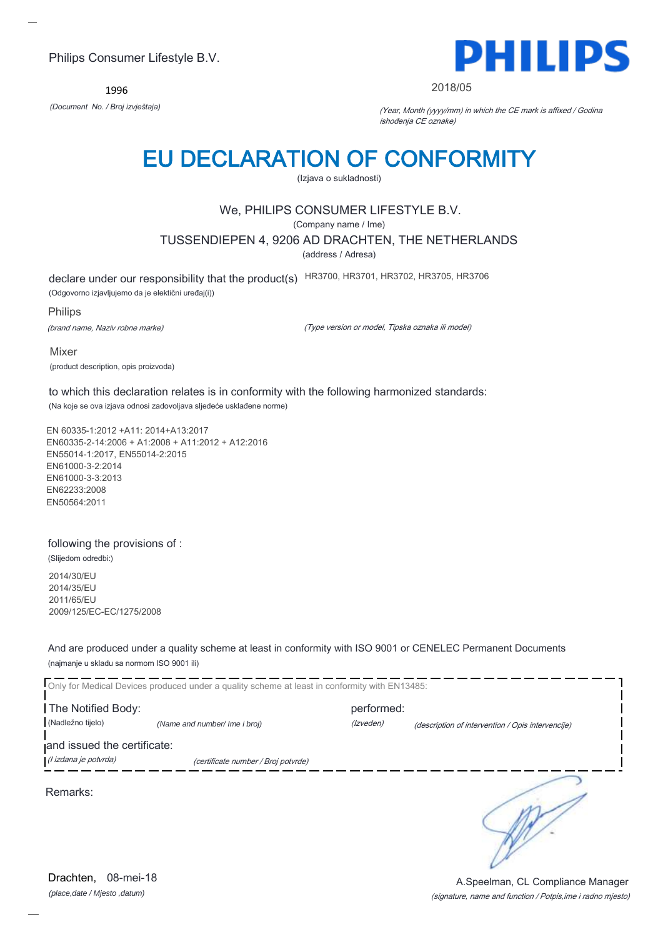1996



#### 2018/05

*(Document No. / Broj izvještaja)* (Year, Month (yyyy/mm) in which the CE mark is affixed / Godina ishođenja CE oznake)

## EU DECLARATION OF CONFORMITY

(Izjava o sukladnosti)

## We, PHILIPS CONSUMER LIFESTYLE B.V.

(Company name / Ime)

TUSSENDIEPEN 4, 9206 AD DRACHTEN, THE NETHERLANDS

(address / Adresa)

declare under our responsibility that the product(s) HR3700, HR3701, HR3702, HR3705, HR3706

(Odgovorno izjavljujemo da je elektični uređaj(i))

Philips

(brand name, Naziv robne marke)

(Type version or model, Tipska oznaka ili model)

Mixer (product description, opis proizvoda)

to which this declaration relates is in conformity with the following harmonized standards: (Na koje se ova izjava odnosi zadovoljava sljedeće usklađene norme)

EN 60335-1:2012 +A11: 2014+A13:2017 EN60335-2-14:2006 + A1:2008 + A11:2012 + A12:2016 EN55014-1:2017, EN55014-2:2015 EN61000-3-2:2014 EN61000-3-3:2013 EN62233:2008 EN50564:2011

#### following the provisions of :

(Slijedom odredbi:)

2014/30/EU 2014/35/EU 2011/65/EU 2009/125/EC-EC/1275/2008

And are produced under a quality scheme at least in conformity with ISO 9001 or CENELEC Permanent Documents (najmanje u skladu sa normom ISO 9001 ili)

| Only for Medical Devices produced under a quality scheme at least in conformity with EN13485: |                                     |            |                                                   |  |
|-----------------------------------------------------------------------------------------------|-------------------------------------|------------|---------------------------------------------------|--|
| The Notified Body:                                                                            |                                     | performed: |                                                   |  |
| (Nadležno tijelo)                                                                             | (Name and number/ Ime i broj)       | (Izveden)  | (description of intervention / Opis intervencije) |  |
| and issued the certificate:                                                                   |                                     |            |                                                   |  |
| (l izdana je potvrda)                                                                         | (certificate number / Broj potvrde) |            |                                                   |  |
| Remarks:                                                                                      |                                     |            |                                                   |  |

*(place,date / Mjesto ,datum)* Drachten, 08-mei-18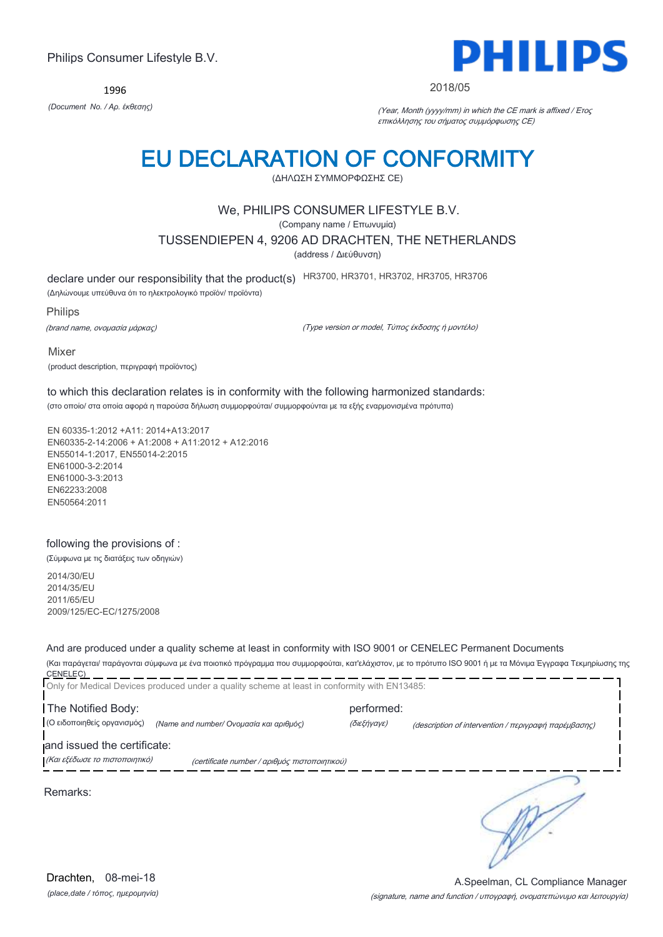1996



#### 2018/05

*(Document No. / Αρ. έκθεσης)* (Year, Month (yyyy/mm) in which the CE mark is affixed / Έτος επικόλλησης του σήματος συμμόρφωσης CE)

# EU DECLARATION OF CONFORMITY

(ΔΗΛΩΣΗ ΣΥΜΜΟΡΦΩΣΗΣ CE)

## We, PHILIPS CONSUMER LIFESTYLE B.V.

(Company name / Επωνυμία)

TUSSENDIEPEN 4, 9206 AD DRACHTEN, THE NETHERLANDS

(address / Διεύθυνση)

declare under our responsibility that the product(s) HR3700, HR3701, HR3702, HR3705, HR3706

(Δηλώνουμε υπεύθυνα ότι το ηλεκτρολογικό προϊόν/ προϊόντα)

Philips

(brand name, ονομασία μάρκας)

(Type version or model, Τύπος έκδοσης ή μοντέλο)

Mixer

(product description, περιγραφή προϊόντος)

to which this declaration relates is in conformity with the following harmonized standards: (στο οποίο/ στα οποία αφορά η παρούσα δήλωση συμμορφούται/ συμμορφούνται με τα εξής εναρμονισμένα πρότυπα)

EN 60335-1:2012 +A11: 2014+A13:2017 EN60335-2-14:2006 + A1:2008 + A11:2012 + A12:2016 EN55014-1:2017, EN55014-2:2015 EN61000-3-2:2014 EN61000-3-3:2013 EN62233:2008 EN50564:2011

### following the provisions of :

(Σύμφωνα με τις διατάξεις των οδηγιών)

2014/30/EU 2014/35/EU 2011/65/EU 2009/125/EC-EC/1275/2008

And are produced under a quality scheme at least in conformity with ISO 9001 or CENELEC Permanent Documents

(Και παράγεται/ παράγονται σύμφωνα με ένα ποιοτικό πρόγραμμα που συμμορφούται, κατ'ελάχιστον, με το πρότυπο ISO 9001 ή με τα Μόνιμα Έγγραφα Τεκμηρίωσης της CENELEC)

|                                                               | Only for Medical Devices produced under a quality scheme at least in conformity with EN13485: |                           |                                                      |
|---------------------------------------------------------------|-----------------------------------------------------------------------------------------------|---------------------------|------------------------------------------------------|
| The Notified Body:<br>(Ο ειδοποιηθείς οργανισμός)             | (Name and number/ Ονομασία και αριθμός)                                                       | performed:<br>(διεξήγαγε) | (description of intervention / περιγραφή παρέμβασης) |
| and issued the certificate:<br>(Και εξέδωσε το πιστοποιητικό) | (certificate number / αριθμός πιστοποιητικού)                                                 |                           |                                                      |
| Remarks:                                                      |                                                                                               |                           |                                                      |
|                                                               |                                                                                               |                           |                                                      |

*(place,date / τόπος, ημερομηνία)* Drachten, 08-mei-18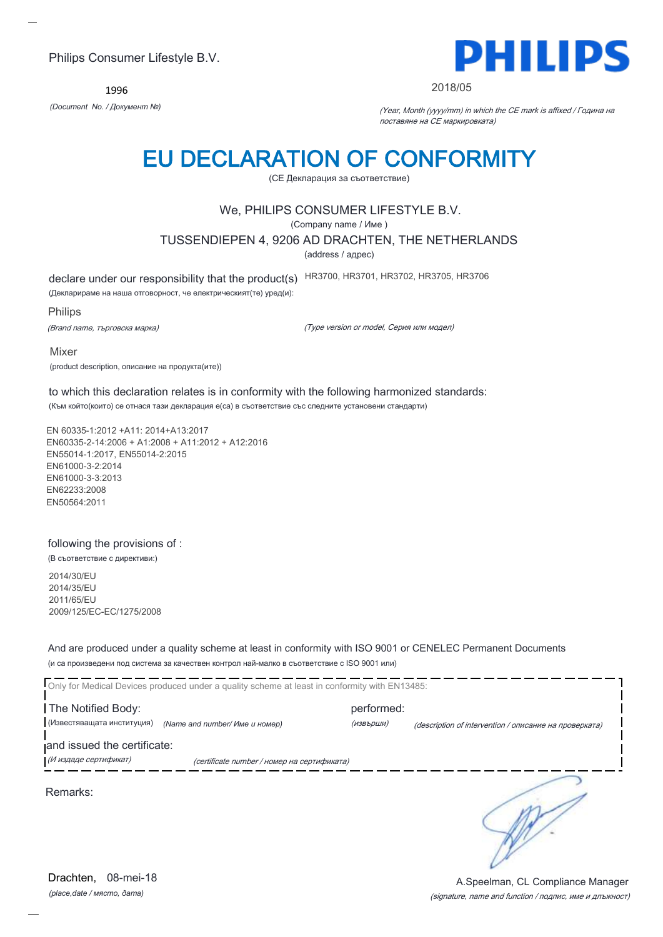1996



#### 2018/05

*(Document No. / Документ №)* (Year, Month (yyyy/mm) in which the CE mark is affixed / Година на поставяне на CE маркировката)

## EU DECLARATION OF CONFORMITY

(CE Декларация за съответствие)

## We, PHILIPS CONSUMER LIFESTYLE B.V.

(Company name / Име )

TUSSENDIEPEN 4, 9206 AD DRACHTEN, THE NETHERLANDS

(address / адрес)

declare under our responsibility that the product(s) HR3700, HR3701, HR3702, HR3705, HR3706

(Декларираме на наша отговорност, че електрическият(те) уред(и):

#### Philips

(Brand name, търговска марка)

(Type version or model, Серия или модел)

Mixer

(product description, описание на продукта(ите))

to which this declaration relates is in conformity with the following harmonized standards:

(Към който(които) се отнася тази декларация е(са) в съответствие със следните установени стандарти)

EN 60335-1:2012 +A11: 2014+A13:2017 EN60335-2-14:2006 + A1:2008 + A11:2012 + A12:2016 EN55014-1:2017, EN55014-2:2015 EN61000-3-2:2014 EN61000-3-3:2013 EN62233:2008 EN50564:2011

### following the provisions of :

(В съответствие с директиви:)

2014/30/EU 2014/35/EU 2011/65/EU 2009/125/EC-EC/1275/2008

And are produced under a quality scheme at least in conformity with ISO 9001 or CENELEC Permanent Documents (и са произведени под система за качествен контрол най-малко в съответствие с ISO 9001 или)

| Only for Medical Devices produced under a quality scheme at least in conformity with EN13485: |                                             |            |                                                        |  |
|-----------------------------------------------------------------------------------------------|---------------------------------------------|------------|--------------------------------------------------------|--|
| The Notified Body:                                                                            |                                             | performed: |                                                        |  |
| (Известяващата институция)                                                                    | (Name and number/ Име и номер)              | (извърши)  | (description of intervention / описание на проверката) |  |
| and issued the certificate:                                                                   |                                             |            |                                                        |  |
| (И издаде сертификат)                                                                         | (certificate number / номер на сертификата) |            |                                                        |  |
| Remarks:                                                                                      |                                             |            |                                                        |  |

*(place,date / място, дата)* Drachten, 08-mei-18